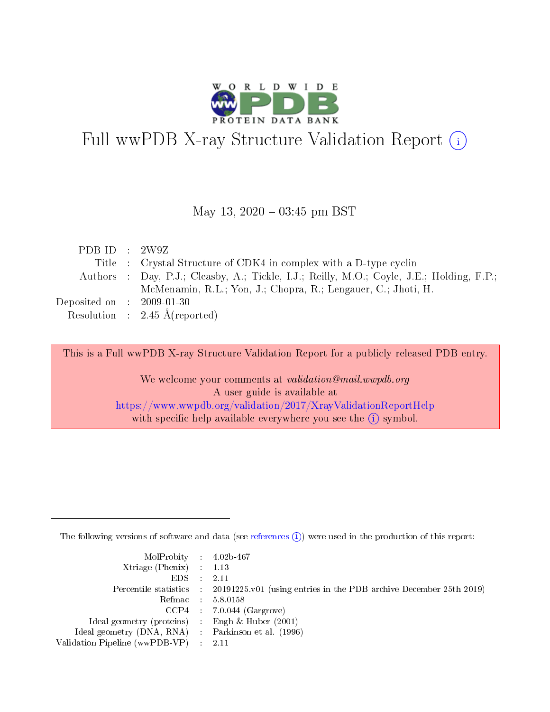

# Full wwPDB X-ray Structure Validation Report (i)

#### May 13,  $2020 - 03:45$  pm BST

| PDB ID : $2W9Z$                      |                                                                                           |
|--------------------------------------|-------------------------------------------------------------------------------------------|
|                                      | Title : Crystal Structure of CDK4 in complex with a D-type cyclin                         |
|                                      | Authors : Day, P.J.; Cleasby, A.; Tickle, I.J.; Reilly, M.O.; Coyle, J.E.; Holding, F.P.; |
|                                      | McMenamin, R.L.; Yon, J.; Chopra, R.; Lengauer, C.; Jhoti, H.                             |
| Deposited on $\therefore$ 2009-01-30 |                                                                                           |
|                                      | Resolution : $2.45 \text{ Å}$ (reported)                                                  |

This is a Full wwPDB X-ray Structure Validation Report for a publicly released PDB entry.

We welcome your comments at validation@mail.wwpdb.org A user guide is available at <https://www.wwpdb.org/validation/2017/XrayValidationReportHelp> with specific help available everywhere you see the  $(i)$  symbol.

The following versions of software and data (see [references](https://www.wwpdb.org/validation/2017/XrayValidationReportHelp#references)  $(i)$ ) were used in the production of this report:

| $MolProbability$ 4.02b-467                          |                                                                                            |
|-----------------------------------------------------|--------------------------------------------------------------------------------------------|
| Xtriage (Phenix) $: 1.13$                           |                                                                                            |
| $EDS$ :                                             | -2.11                                                                                      |
|                                                     | Percentile statistics : 20191225.v01 (using entries in the PDB archive December 25th 2019) |
|                                                     | Refmac : 5.8.0158                                                                          |
|                                                     | $CCP4$ : 7.0.044 (Gargrove)                                                                |
| Ideal geometry (proteins) : Engh $\&$ Huber (2001)  |                                                                                            |
| Ideal geometry (DNA, RNA) : Parkinson et al. (1996) |                                                                                            |
| Validation Pipeline (wwPDB-VP)                      | -2.11                                                                                      |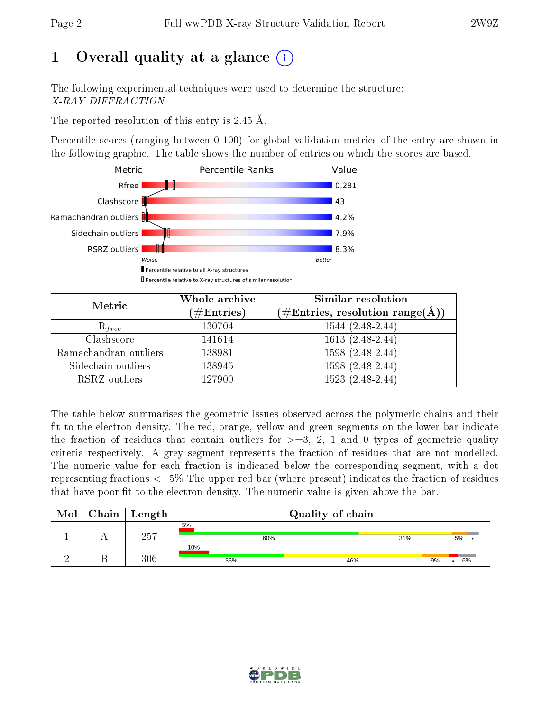# 1 [O](https://www.wwpdb.org/validation/2017/XrayValidationReportHelp#overall_quality)verall quality at a glance  $(i)$

The following experimental techniques were used to determine the structure: X-RAY DIFFRACTION

The reported resolution of this entry is 2.45 Å.

Percentile scores (ranging between 0-100) for global validation metrics of the entry are shown in the following graphic. The table shows the number of entries on which the scores are based.



| Metric                | Whole archive<br>$(\#\text{Entries})$ | Similar resolution<br>$(\#\text{Entries},\,\text{resolution}\,\,\text{range}(\textup{\AA}))$ |
|-----------------------|---------------------------------------|----------------------------------------------------------------------------------------------|
| $R_{free}$            | 130704                                | $1544(2.48-2.44)$                                                                            |
| Clashscore            | 141614                                | $1613(2.48-2.44)$                                                                            |
| Ramachandran outliers | 138981                                | $1598(2.48-2.44)$                                                                            |
| Sidechain outliers    | 138945                                | $1598(2.48-2.44)$                                                                            |
| RSRZ outliers         | 127900                                | $1523(2.48-2.44)$                                                                            |

The table below summarises the geometric issues observed across the polymeric chains and their fit to the electron density. The red, orange, yellow and green segments on the lower bar indicate the fraction of residues that contain outliers for  $>=3, 2, 1$  and 0 types of geometric quality criteria respectively. A grey segment represents the fraction of residues that are not modelled. The numeric value for each fraction is indicated below the corresponding segment, with a dot representing fractions <=5% The upper red bar (where present) indicates the fraction of residues that have poor fit to the electron density. The numeric value is given above the bar.

| Mol | $C$ hain $\vert$ Length | Quality of chain |     |     |     |          |  |
|-----|-------------------------|------------------|-----|-----|-----|----------|--|
|     | 257                     | 5%               | 60% |     | 31% | $5\%$ .  |  |
|     | 306                     | 10%<br>35%       |     | 46% |     | 6%<br>9% |  |

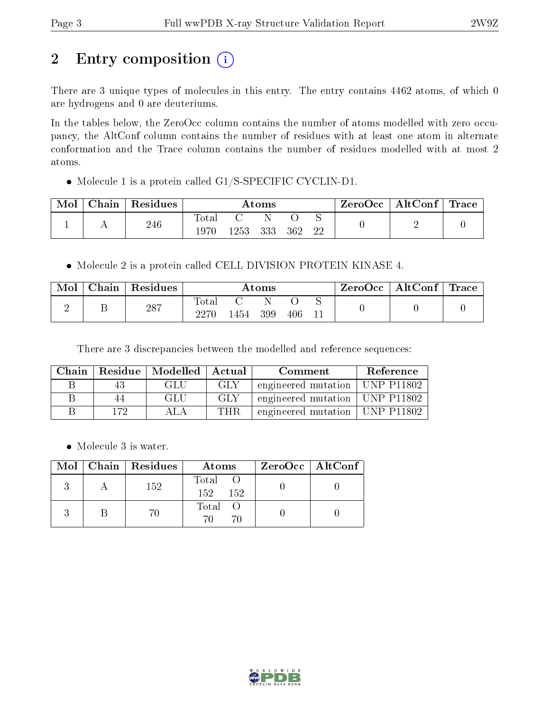# 2 Entry composition (i)

There are 3 unique types of molecules in this entry. The entry contains 4462 atoms, of which 0 are hydrogens and 0 are deuteriums.

In the tables below, the ZeroOcc column contains the number of atoms modelled with zero occupancy, the AltConf column contains the number of residues with at least one atom in alternate conformation and the Trace column contains the number of residues modelled with at most 2 atoms.

• Molecule 1 is a protein called G1/S-SPECIFIC CYCLIN-D1.

| Mol | Chain | Residues | Atoms               |      |     |     | ZeroOcc | $\mid$ AltConf $\mid$ Trace |  |  |
|-----|-------|----------|---------------------|------|-----|-----|---------|-----------------------------|--|--|
|     |       | 246      | $\rm Total$<br>1970 | 1253 | 333 | 362 | 22      |                             |  |  |

• Molecule 2 is a protein called CELL DIVISION PROTEIN KINASE 4.

| Mol | $\text{Chain}$ | Residues | $\rm\bf Atoms$ |      |     |     | $\text{ZeroOcc}$   AltConf   Trace |  |  |
|-----|----------------|----------|----------------|------|-----|-----|------------------------------------|--|--|
|     |                | 287      | Total<br>2270  | '454 | 399 | 406 | ◡                                  |  |  |

There are 3 discrepancies between the modelled and reference sequences:

| Chain |     | Residue   Modelled | Actual | Comment             | Reference          |
|-------|-----|--------------------|--------|---------------------|--------------------|
|       |     | GLU                | GLY    | engineered mutation | UNP P11802         |
|       |     | GLU                | GLY    | engineered mutation | $\vert$ UNP P11802 |
|       | 179 |                    | THR.   | engineered mutation | UNP P11802         |

• Molecule 3 is water.

|  | $Mol$   Chain   Residues | Atoms               | $ZeroOcc \   \ AltConf \  $ |
|--|--------------------------|---------------------|-----------------------------|
|  | 152                      | Total<br>152<br>152 |                             |
|  | 70                       | Total O             |                             |

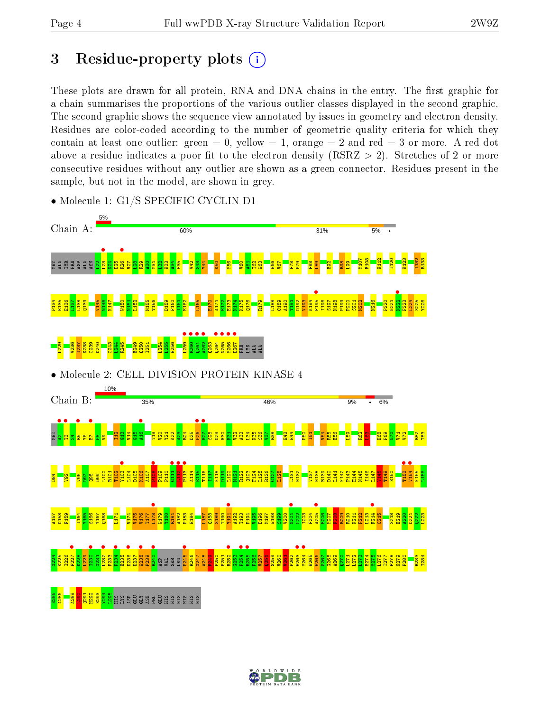# 3 Residue-property plots  $(i)$

These plots are drawn for all protein, RNA and DNA chains in the entry. The first graphic for a chain summarises the proportions of the various outlier classes displayed in the second graphic. The second graphic shows the sequence view annotated by issues in geometry and electron density. Residues are color-coded according to the number of geometric quality criteria for which they contain at least one outlier: green  $= 0$ , yellow  $= 1$ , orange  $= 2$  and red  $= 3$  or more. A red dot above a residue indicates a poor fit to the electron density (RSRZ  $> 2$ ). Stretches of 2 or more consecutive residues without any outlier are shown as a green connector. Residues present in the sample, but not in the model, are shown in grey.



• Molecule 1: G1/S-SPECIFIC CYCLIN-D1

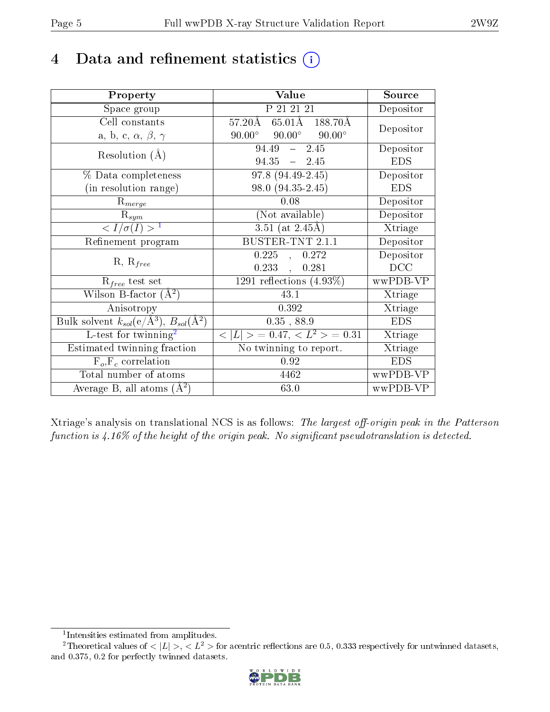# 4 Data and refinement statistics  $(i)$

| Property                                                             | Value                                            | Source     |
|----------------------------------------------------------------------|--------------------------------------------------|------------|
| Space group                                                          | P 21 21 21                                       | Depositor  |
| Cell constants                                                       | 65.01Å 188.70Å<br>$57.20\text{\AA}$              | Depositor  |
| a, b, c, $\alpha$ , $\beta$ , $\gamma$                               | $90.00^{\circ}$ $90.00^{\circ}$<br>$90.00^\circ$ |            |
| Resolution $(A)$                                                     | $-2.45$<br>94.49                                 | Depositor  |
|                                                                      | $94.35 - 2.45$                                   | <b>EDS</b> |
| % Data completeness                                                  | 97.8 (94.49-2.45)                                | Depositor  |
| (in resolution range)                                                | 98.0 (94.35-2.45)                                | <b>EDS</b> |
| $R_{merge}$                                                          | 0.08                                             | Depositor  |
| $\mathrm{R}_{sym}$                                                   | (Not available)                                  | Depositor  |
| $\langle I/\sigma(I) \rangle^{-1}$                                   | $3.51$ (at 2.45Å)                                | Xtriage    |
| Refinement program                                                   | BUSTER-TNT 2.1.1                                 | Depositor  |
|                                                                      | $0.225$ ,<br>0.272                               | Depositor  |
| $R, R_{free}$                                                        | 0.233,<br>0.281                                  | DCC        |
| $R_{free}$ test set                                                  | 1291 reflections $(4.93\%)$                      | wwPDB-VP   |
| Wilson B-factor $(A^2)$                                              | 43.1                                             | Xtriage    |
| Anisotropy                                                           | 0.392                                            | Xtriage    |
| Bulk solvent $k_{sol}(e/\mathring{A}^3)$ , $B_{sol}(\mathring{A}^2)$ | $0.35$ , $88.9\,$                                | <b>EDS</b> |
| L-test for twinning <sup>2</sup>                                     | $< L >$ = 0.47, $< L2 >$ = 0.31                  | Xtriage    |
| Estimated twinning fraction                                          | No twinning to report.                           | Xtriage    |
| $F_o, F_c$ correlation                                               | 0.92                                             | <b>EDS</b> |
| Total number of atoms                                                | 4462                                             | wwPDB-VP   |
| Average B, all atoms $(A^2)$                                         | 63.0                                             | wwPDB-VP   |

Xtriage's analysis on translational NCS is as follows: The largest off-origin peak in the Patterson function is  $4.16\%$  of the height of the origin peak. No significant pseudotranslation is detected.

<sup>&</sup>lt;sup>2</sup>Theoretical values of  $\langle |L| \rangle$ ,  $\langle L^2 \rangle$  for acentric reflections are 0.5, 0.333 respectively for untwinned datasets, and 0.375, 0.2 for perfectly twinned datasets.



<span id="page-4-1"></span><span id="page-4-0"></span><sup>1</sup> Intensities estimated from amplitudes.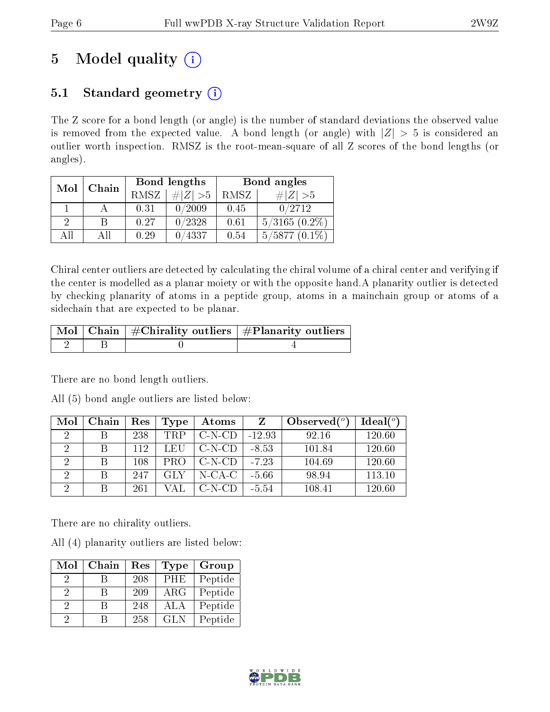# 5 Model quality  $(i)$

## 5.1 Standard geometry  $(i)$

The Z score for a bond length (or angle) is the number of standard deviations the observed value is removed from the expected value. A bond length (or angle) with  $|Z| > 5$  is considered an outlier worth inspection. RMSZ is the root-mean-square of all Z scores of the bond lengths (or angles).

| Mol      | Chain |             | Bond lengths | Bond angles |                     |  |
|----------|-------|-------------|--------------|-------------|---------------------|--|
|          |       | <b>RMSZ</b> | $\ Z\  > 5$  | RMSZ        | # Z  > 5            |  |
|          |       | 0.31        | 0/2009       | 0.45        | 0/2712              |  |
| $\Omega$ | В     | 0.27        | 0/2328       | 0.61        | $5/3165$ $(0.2\%)$  |  |
| ΑĦ       | ΑII   | 0.29        | 0/4337       | 0.54        | 5/5877<br>$(0.1\%)$ |  |

Chiral center outliers are detected by calculating the chiral volume of a chiral center and verifying if the center is modelled as a planar moiety or with the opposite hand.A planarity outlier is detected by checking planarity of atoms in a peptide group, atoms in a mainchain group or atoms of a sidechain that are expected to be planar.

|  | $\lceil$ Mol $\lceil$ Chain $\rceil$ #Chirality outliers $\lceil$ #Planarity outliers $\lceil$ |
|--|------------------------------------------------------------------------------------------------|
|  |                                                                                                |

There are no bond length outliers.

All (5) bond angle outliers are listed below:

| Mol           | Chain | Res     | Type       | <b>Atoms</b> | Z        | Observed $(°)$ | Ideal $(°)$ |
|---------------|-------|---------|------------|--------------|----------|----------------|-------------|
| $\mathcal{D}$ |       | 238     | <b>TRP</b> | $C-N-CD$     | $-12.93$ | 92.16          | 120.60      |
|               |       | 112     | LEU        | $C-N-CD$     | $-8.53$  | 101.84         | 120.60      |
| $\mathcal{D}$ |       | $108\,$ | PRO        | $C-N-CD$     | $-7.23$  | 104.69         | 120.60      |
| റ             |       | 247     | GLY        | $N$ -CA-C    | $-5.66$  | 98.94          | 113.10      |
| ച             |       | 261     |            | C-N-CD       | $-5.54$  | 108.41         | 120.60      |

There are no chirality outliers.

All (4) planarity outliers are listed below:

| Mol | Chain | Res | <b>Type</b> | Group   |
|-----|-------|-----|-------------|---------|
| 9   |       | 208 | PHE         | Peptide |
| 9   |       | 209 | $\rm{ARG}$  | Peptide |
| 2   | R     | 248 | ALA         | Peptide |
| 9   |       | 258 | <b>GLN</b>  | Peptide |

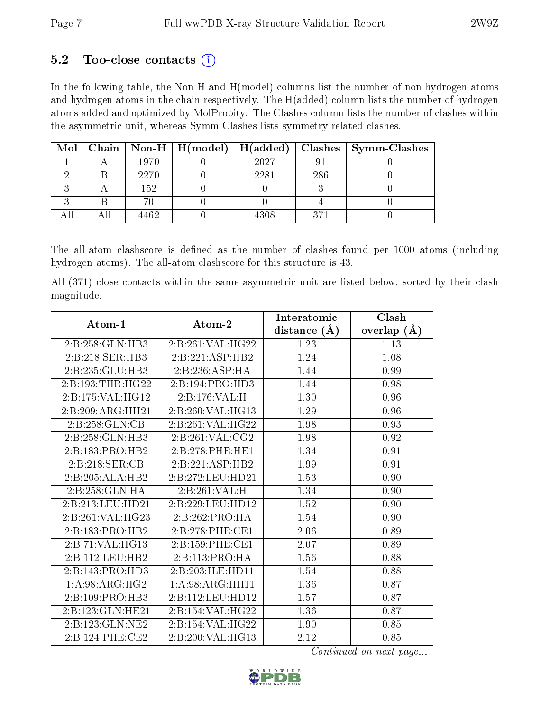### $5.2$  Too-close contacts  $(i)$

In the following table, the Non-H and H(model) columns list the number of non-hydrogen atoms and hydrogen atoms in the chain respectively. The H(added) column lists the number of hydrogen atoms added and optimized by MolProbity. The Clashes column lists the number of clashes within the asymmetric unit, whereas Symm-Clashes lists symmetry related clashes.

| Mol |      |      |     | Chain   Non-H   H(model)   H(added)   Clashes   Symm-Clashes |
|-----|------|------|-----|--------------------------------------------------------------|
|     | 1970 | 2027 |     |                                                              |
|     | 2270 | 2281 | 286 |                                                              |
|     | 152  |      |     |                                                              |
|     |      |      |     |                                                              |
|     | +462 | 4308 | 371 |                                                              |

The all-atom clashscore is defined as the number of clashes found per 1000 atoms (including hydrogen atoms). The all-atom clashscore for this structure is 43.

All (371) close contacts within the same asymmetric unit are listed below, sorted by their clash magnitude.

| Atom-1            | Atom-2                                   | Interatomic       | Clash           |
|-------------------|------------------------------------------|-------------------|-----------------|
|                   |                                          | distance $(\AA)$  | overlap $(\AA)$ |
| 2:B:258:GLN:HB3   | 2:B:261:VAL:HG22                         | 1.23              | 1.13            |
| 2:B:218:SER:HB3   | 2:B:221:ASP:HB2                          | 1.24              | 1.08            |
| 2:B:235:GLU:HB3   | 2:B:236:ASP:HA                           | 1.44              | 0.99            |
| 2:B:193:THR:HG22  | 2:B:194:PRO:HD3                          | 1.44              | 0.98            |
| 2:B:175:VAL:HG12  | 2:B:176:VAL:H                            | 1.30              | 0.96            |
| 2:B:209:ARG:HH21  | 2:B:260:VAL:HG13                         | 1.29              | 0.96            |
| 2:B:258:GLN:CB    | 2:B:261:VAL:HG22                         | 1.98              | 0.93            |
| 2:B:258:GLN:HB3   | 2:B:261:VAL:CG2                          | 1.98              | 0.92            |
| 2:B:183:PRO:HB2   | 2:B:278:PHE:HE1                          | 1.34              | 0.91            |
| 2:B:218:SER:CB    | 2:B:221:ASP:HB2                          | 1.99              | 0.91            |
| 2:B:205:ALA:HB2   | 2:B:272:LEU:HD21                         | 1.53              | 0.90            |
| 2:B:258:GLN:HA    | 2:B:261:VAL:H                            | 1.34              | 0.90            |
| 2:B:213:LEU:HD21  | 2:B:229:LEU:HD12                         | $\overline{1.52}$ | 0.90            |
| 2:B:261:VAL:HG23  | 2:B:262:PRO:HA                           | 1.54              | 0.90            |
| 2:B:183:PRO:HB2   | 2:B:278:PHE:CE1                          | 2.06              | 0.89            |
| 2:B:71:VAL:HG13   | 2:B:159:PHE:CE1                          | 2.07              | 0.89            |
| 2:B:112:LEU:HB2   | 2:B:113:PRO:HA                           | 1.56              | 0.88            |
| 2:B:143:PRO:HD3   | 2:B:203:ILE:HD11                         | 1.54              | 0.88            |
| 1: A:98: ARG: HG2 | 1: A:98: ARG:HH11                        | 1.36              | 0.87            |
| 2:B:109:PRO:HB3   | 2:B:112:LEU:HD12                         | $\overline{1.57}$ | 0.87            |
| 2:B:123:GLN:HE21  | 2:B:154:VAL:HG22                         | 1.36              | 0.87            |
| 2:B:123:GLN:NE2   | $2:\overline{B}:154:\overline{VAL}:HG22$ | 1.90              | 0.85            |
| 2:B:124:PHE:CE2   | 2:B:200:VAL:HG13                         | 2.12              | 0.85            |

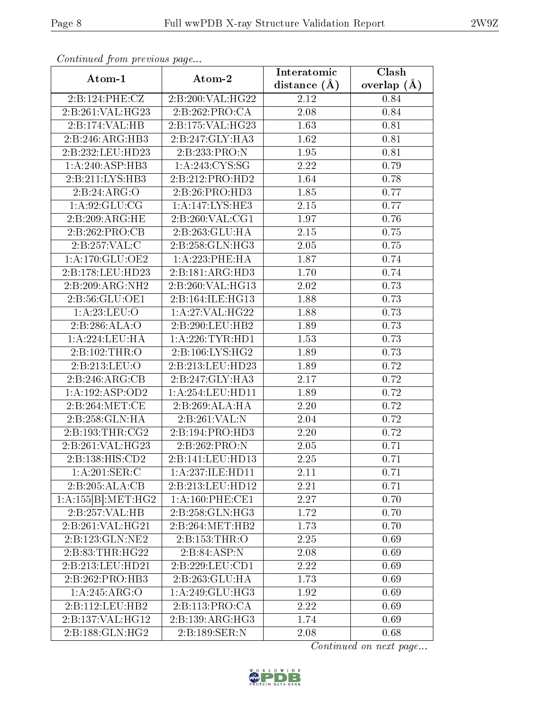| $P$ . The contractor of $P$ is the contract of $P$ and $P$ | Atom-2               | Interatomic      | $\overline{\text{Clash}}$ |
|------------------------------------------------------------|----------------------|------------------|---------------------------|
| Atom-1                                                     |                      | distance $(\AA)$ | overlap $(\AA)$           |
| 2:B:124:PHE:CZ                                             | 2:B:200:VAL:HG22     | 2.12             | 0.84                      |
| 2:B:261:VAL:HG23                                           | 2:B:262:PRO:CA       | $2.08\,$         | 0.84                      |
| 2:B:174:VAL:HB                                             | 2:B:175:VAL:HG23     | 1.63             | 0.81                      |
| 2:B:246:ARG:HB3                                            | 2:B:247:GLY:HA3      | 1.62             | 0.81                      |
| 2:B:232:LEU:HD23                                           | 2:B:233:PRO:N        | 1.95             | 0.81                      |
| 1:A:240:ASP:HB3                                            | 1: A:243: CYS:SG     | 2.22             | 0.79                      |
| 2:B:211:LYS:HB3                                            | 2:B:212:PRO:HD2      | 1.64             | 0.78                      |
| 2:B:24:ARG:O                                               | 2:B:26:PRO:HD3       | 1.85             | 0.77                      |
| 1: A:92: GLU:CG                                            | 1:A:147:LYS:HE3      | 2.15             | 0.77                      |
| 2:B:209:ARG:HE                                             | 2: B:260: VAL:CG1    | 1.97             | 0.76                      |
| 2:B:262:PRO:CB                                             | 2:B:263:GLU:HA       | 2.15             | 0.75                      |
| 2:B:257:VAL:CC                                             | 2:B:258:GLN:HG3      | 2.05             | 0.75                      |
| 1: A:170: GLU:OE2                                          | 1: A:223:PHE:HA      | 1.87             | 0.74                      |
| 2:B:178:LEU:HD23                                           | 2:B:181:ARG:HD3      | 1.70             | 0.74                      |
| 2:B:209:ARG:NH2                                            | 2:B:260:VAL:HG13     | 2.02             | 0.73                      |
| 2:B:56:GLU:OE1                                             | 2:B:164:ILE:HG13     | 1.88             | 0.73                      |
| 1: A:23: LEU:O                                             | 1: A:27: VAL:HG22    | 1.88             | 0.73                      |
| 2:B:286:ALA:O                                              | 2:B:290:LEU:HB2      | 1.89             | 0.73                      |
| $1:\overline{A}:224:\underline{LEU}:HA$                    | 1: A:226:TYR:HD1     | 1.53             | 0.73                      |
| 2:B:102:THR:O                                              | 2:B:106:LYS:HG2      | 1.89             | 0.73                      |
| 2:B:213:LEU:O                                              | 2:B:213:LEU:HD23     | 1.89             | 0.72                      |
| 2:B:246:ARG:CB                                             | 2:B:247:GLY:HA3      | 2.17             | 0.72                      |
| 1: A: 192: ASP: OD2                                        | 1: A:254:LEU:HD11    | 1.89             | 0.72                      |
| 2:B:264:MET:CE                                             | 2:B:269:ALA:HA       | 2.20             | 0.72                      |
| 2:B:258:GLN:HA                                             | 2:B:261:VAL:N        | 2.04             | 0.72                      |
| 2:B:193:THR:CG2                                            | 2:B:194:PRO:HD3      | 2.20             | 0.72                      |
| 2:B:261:VAL:HG23                                           | 2:B:262:PRO:N        | 2.05             | 0.71                      |
| 2:B:138:HIS:CD2                                            | 2:B:141:LEU:HD13     | 2.25             | 0.71                      |
| 1: A:201:SER:C                                             | 1: A: 237: ILE: HD11 | 2.11             | 0.71                      |
| 2:B:205:ALA:CB                                             | 2:B:213:LEU:HD12     | 2.21             | 0.71                      |
| 1:A:155[B]:MET:HG2                                         | 1: A:160: PHE:CE1    | 2.27             | 0.70                      |
| 2:B:257:VAL:HB                                             | 2:B:258:GLN:HG3      | 1.72             | 0.70                      |
| 2:B:261:VAL:H G 21                                         | 2:B:264:MET:HB2      | 1.73             | 0.70                      |
| 2:B:123:GLN:NE2                                            | 2:B:153:THR:O        | 2.25             | 0.69                      |
| 2:B:83:THR:HG22                                            | 2:B:84:ASP:N         | 2.08             | 0.69                      |
| 2:B:213:LEU:HD21                                           | 2:B:229:LEU:CD1      | 2.22             | 0.69                      |
| 2:B:262:PRO:HB3                                            | 2:B:263:GLU:HA       | 1.73             | 0.69                      |
| $1:A:245:\overline{ARG:O}$                                 | 1:A:249:GLU:HG3      | 1.92             | 0.69                      |
| 2:B:112:LEU:HB2                                            | 2:B:113:PRO:CA       | 2.22             | 0.69                      |
| 2:B:137:VAL:HG12                                           | 2:B:139:ARG:HG3      | 1.74             | 0.69                      |
| 2:B:188:GLN:HG2                                            | 2:B:189:SER:N        | 2.08             | 0.68                      |

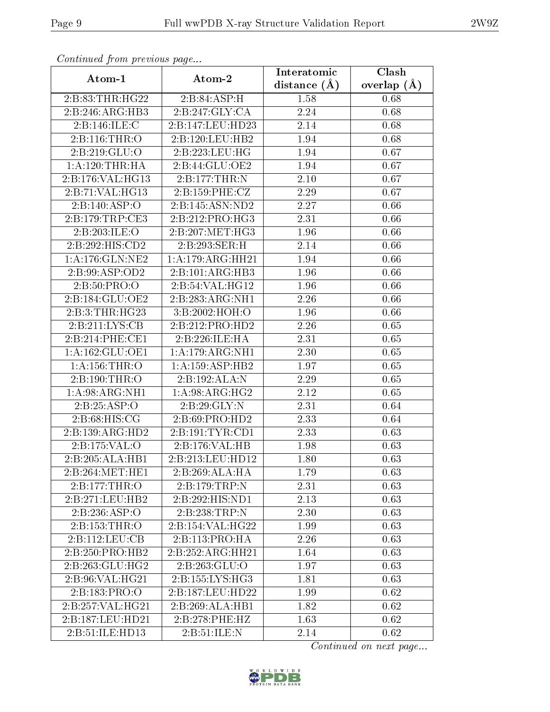| Continuatu from previous page |                            | Interatomic    | Clash         |
|-------------------------------|----------------------------|----------------|---------------|
| Atom-1                        | Atom-2                     | distance $(A)$ | overlap $(A)$ |
| 2:B:83:THR:HG22               | 2:B:84:ASP:H               | 1.58           | 0.68          |
| 2:B:246:ARG:HB3               | 2:B:247:GLY:CA             | 2.24           | 0.68          |
| 2:B:146:ILE:C                 | 2:B:147:LEU:HD23           | 2.14           | 0.68          |
| 2:Bi:116:THR:O                | 2:B:120:LEU:HB2            | 1.94           | 0.68          |
| 2:B:219:GLU:O                 | 2:B:223:LEU:HG             | 1.94           | 0.67          |
| 1: A:120:THR:HA               | 2:B:44:GLU:OE2             | 1.94           | 0.67          |
| 2:B:176:VAL:HG13              | 2:B:177:THR:N              | 2.10           | 0.67          |
| 2:B:71:VAL:HG13               | 2:B:159:PHE:CZ             | 2.29           | 0.67          |
| 2:B:140:ASP:O                 | 2:B:145:ASN:ND2            | 2.27           | 0.66          |
| 2:B:179:TRP:CE3               | 2:B:212:PRO:HG3            | 2.31           | 0.66          |
| 2:B:203:ILE:O                 | 2:B:207:MET:HG3            | 1.96           | 0.66          |
| 2:B:292:HIS:CD2               | 2:B:293:SER:H              | 2.14           | 0.66          |
| 1: A:176: GLN: NE2            | 1:A:179:ARG:HH21           | 1.94           | 0.66          |
| 2:B:99:ASP:OD2                | 2:B:101:ARG:HB3            | 1.96           | 0.66          |
| 2:B:50:PRO:O                  | 2:B:54:VAL:HG12            | 1.96           | 0.66          |
| 2:B:184:GLU:OE2               | 2:B:283:ARG:NH1            | 2.26           | 0.66          |
| 2:B:3:THR:HG23                | 3:B:2002:HOH:O             | 1.96           | 0.66          |
| 2:B:211:LYS:CB                | 2:B:212:PRO:HD2            | 2.26           | 0.65          |
| 2:B:214:PHE:CE1               | 2:B:226:ILE:HA             | 2.31           | 0.65          |
| 1: A: 162: GLU: OE1           | 1: A:179: ARG:NH1          | 2.30           | 0.65          |
| 1:A:156:THR:O                 | 1:A:159:ASP:HB2            | 1.97           | 0.65          |
| 2:B:190:THR:O                 | 2:B:192:ALA:N              | 2.29           | 0.65          |
| 1: A:98: ARG: NH1             | 1: A:98: ARG: HG2          | 2.12           | 0.65          |
| 2:B:25:ASP:O                  | 2:B:29:GLY:N               | 2.31           | 0.64          |
| 2: B:68: HIS: CG              | 2: B:69: PRO:HD2           | 2.33           | 0.64          |
| 2:B:139:ARG:HD2               | 2:B:191:TYR:CD1            | 2.33           | 0.63          |
| 2:B:175:VAL:O                 | 2:B:176:VAL:HB             | 1.98           | 0.63          |
| 2:B:205:ALA:HB1               | 2:B:213:LEU:HD12           | 1.80           | 0.63          |
| 2:B:264:MET:HE1               | 2:B:269:ALA:HA             | 1.79           | 0.63          |
| 2:B:177:THR:O                 | $2:B:179:TRP:\overline{N}$ | 2.31           | 0.63          |
| 2:B:271:LEU:HB2               | 2:B:292:HIS:ND1            | 2.13           | 0.63          |
| 2: B: 236: ASP:O              | 2:B:238:TRP:N              | 2.30           | 0.63          |
| 2:Bi:153:THR:O                | 2:B:154:VAL:HG22           | 1.99           | 0.63          |
| 2:B:112:LEU:CB                | 2:B:113:PRO:HA             | 2.26           | 0.63          |
| 2:B:250:PRO:HB2               | 2:B:252:ARG:HH21           | 1.64           | 0.63          |
| 2:B:263:GLU:HG2               | 2:B:263:GLU:O              | 1.97           | 0.63          |
| 2:B:96:VAL:HG21               | 2:B:155:LYS:HG3            | 1.81           | 0.63          |
| 2:B:183:PRO:O                 | 2:B:187:LEU:HD22           | 1.99           | 0.62          |
| 2:B:257:VAL:HG21              | 2:B:269:ALA:HB1            | 1.82           | 0.62          |
| 2:B:187:LEU:HD21              | 2:B:278:PHE:HZ             | 1.63           | 0.62          |
| 2:B:51:ILE:HD13               | 2: B:51: ILE:N             | 2.14           | 0.62          |

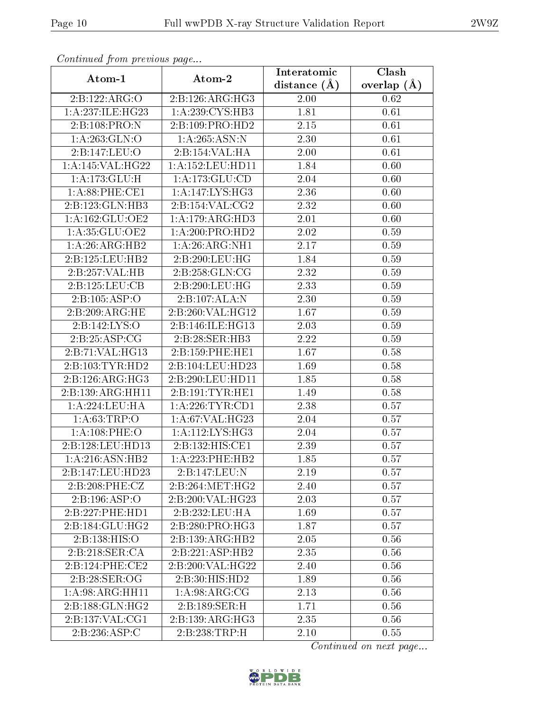| Continuation provided pugato |                              | Interatomic    | $\overline{\text{Clash}}$ |
|------------------------------|------------------------------|----------------|---------------------------|
| Atom-1                       | Atom-2                       | distance $(A)$ | overlap $(A)$             |
| 2:Bi:122:ARG:O               | 2:B:126:ARG:HG3              | 2.00           | 0.62                      |
| 1: A:237: ILE: HG23          | 1: A:239: CYS:HB3            | 1.81           | 0.61                      |
| 2:B:108:PRO:N                | 2:B:109:PRO:HD2              | 2.15           | 0.61                      |
| 1: A:263: GLN:O              | 1: A:265: ASN:N              | 2.30           | 0.61                      |
| 2:B:147:LEU:O                | 2:B:154:VAL:HA               | 2.00           | 0.61                      |
| 1:A:145:VAL:HG22             | 1: A: 152: LEU: HD11         | 1.84           | 0.60                      |
| $1:$ A:173: $GLU:H$          | 1:A:173:GLU:CD               | 2.04           | 0.60                      |
| 1: A:88: PHE:CE1             | 1: A: 147: LYS: HG3          | 2.36           | 0.60                      |
| 2:B:123:GLN:HB3              | 2:B:154:VAL:CG2              | 2.32           | 0.60                      |
| 1: A: 162: GLU: OE2          | 1: A:179: ARG:HD3            | 2.01           | 0.60                      |
| 1:A:35:GLU:OE2               | 1: A:200:PRO:HD2             | 2.02           | 0.59                      |
| 1:A:26:ARG:HB2               | 1: A:26: ARG: NH1            | 2.17           | 0.59                      |
| 2:B:125:LEU:HB2              | 2:B:290:LEU:HG               | 1.84           | 0.59                      |
| 2:B:257:VAL:HB               | 2:B:258:GLN:CG               | 2.32           | 0.59                      |
| 2:B:125:LEU:CB               | 2:B:290:LEU:HG               | 2.33           | 0.59                      |
| 2: B: 105: ASP: O            | 2:B:107:ALA:N                | 2.30           | 0.59                      |
| 2:B:209:ARG:HE               | 2:B:260:VAL:HG12             | 1.67           | 0.59                      |
| 2:Bi:142:LYS:O               | 2:B:146:ILE:HG13             | 2.03           | 0.59                      |
| 2:B:25:ASP:CG                | 2:B:28:SER:HB3               | 2.22           | 0.59                      |
| 2:B:71:VAL:HG13              | 2:B:159:PHE:HE1              | 1.67           | 0.58                      |
| 2:B:103:TYR:HD2              | 2:B:104:LEU:HD23             | 1.69           | 0.58                      |
| 2:B:126:ARG:HG3              | 2:B:290:LEU:HD11             | 1.85           | $0.58\,$                  |
| 2:B:139:ARG:HH11             | 2:B:191:TYR:HE1              | 1.49           | 0.58                      |
| 1:A:224:LEU:HA               | 1: A:226:TYR:CD1             | 2.38           | 0.57                      |
| 1: A:63:TRP:O                | 1:A:67:VAL:HG23              | 2.04           | 0.57                      |
| 1:A:108:PHE:O                | 1:A:112:LYS:HG3              | 2.04           | 0.57                      |
| 2:B:128:LEU:HD13             | 2:B:132:HIS:C <sub>E1</sub>  | 2.39           | 0.57                      |
| 1:A:216:ASN:HB2              | 1: A: 223: PHE: HB2          | 1.85           | 0.57                      |
| 2:B:147:LEU:HD23             | 2:B:147:LEU:N                | 2.19           | 0.57                      |
| 2:B:208:PHE:CZ               | 2:B:264:MET:HG2              | 2.40           | 0.57                      |
| 2:B:196:ASP:O                | 2:B:200:VAL:HG23             | 2.03           | 0.57                      |
| 2:B:227:PHE:HD1              | 2:5:232:LEU:HA               | 1.69           | 0.57                      |
| 2:B:184:GLU:HG2              | 2:B:280:PRO:HG3              | 1.87           | 0.57                      |
| 2:B:138:HIS:O                | 2:B:139:ARG:HB2              | 2.05           | 0.56                      |
| 2:B:218:SER:CA               | $2:B:221:ASP:H\overline{B2}$ | 2.35           | 0.56                      |
| 2:B:124:PHE:CE2              | 2:B:200:VAL:HG22             | 2.40           | 0.56                      |
| 2:B:28:SER:OG                | 2:B:30:HIS:HD2               | 1.89           | 0.56                      |
| 1: A:98: ARG: HH11           | 1: A:98: ARG: CG             | 2.13           | 0.56                      |
| 2:B:188:GLN:HG2              | 2:B:189:SER:H                | 1.71           | 0.56                      |
| 2:B:137:VAL:CG1              | 2:B:139:ARG:HG3              | 2.35           | 0.56                      |
| 2:B:236:ASP:C                | 2:B:238:TRP:H                | $2.10\,$       | 0.55                      |

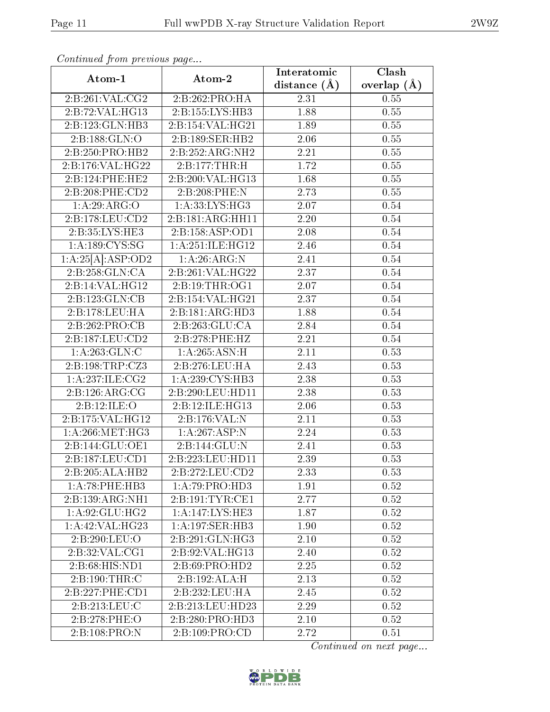| Continuation providus page |                    | Interatomic      | Clash           |
|----------------------------|--------------------|------------------|-----------------|
| Atom-1                     | Atom-2             | distance $(\AA)$ | overlap $(\AA)$ |
| 2:B:261:VAL:CG2            | 2:B:262:PRO:HA     | 2.31             | 0.55            |
| 2:B:72:VAL:HG13            | 2:B:155:LYS:HB3    | 1.88             | 0.55            |
| 2:B:123:GLN:HB3            | 2:B:154:VAL:HG21   | 1.89             | $0.55\,$        |
| 2:B:188:GLN:O              | 2:B:189:SER:HB2    | 2.06             | 0.55            |
| 2:B:250:PRO:HB2            | 2:B:252:ARG:NH2    | 2.21             | $0.55\,$        |
| 2:B:176:VAL:HG22           | 2:B:177:THR:H      | 1.72             | 0.55            |
| 2:B:124:PHE:HE2            | 2:B:200:VAL:HG13   | 1.68             | $0.55\,$        |
| 2:B:208:PHE:CD2            | 2:B:208:PHE:N      | 2.73             | 0.55            |
| 1: A:29: ARG:O             | 1: A:33: LYS: HG3  | 2.07             | 0.54            |
| 2:B:178:LEU:CD2            | 2:B:181:ARG:HH11   | 2.20             | 0.54            |
| 2:B:35:LYS:HE3             | 2:B:158:ASP:OD1    | 2.08             | 0.54            |
| 1: A: 189: CYS: SG         | 1:A:251:ILE:HG12   | 2.46             | 0.54            |
| 1:A:25[A].ASP:OD2          | 1:A:26:ARG:N       | 2.41             | 0.54            |
| 2:B:258:GLN:CA             | 2:B:261:VAL:HG22   | 2.37             | 0.54            |
| 2:B:14:VAL:HG12            | 2: B: 19: THR: OG1 | 2.07             | 0.54            |
| 2:B:123:GLN:CB             | 2:B:154:VAL:HG21   | 2.37             | 0.54            |
| 2:B:178:LEU:HA             | 2:B:181:ARG:HD3    | 1.88             | 0.54            |
| 2: B:262: PRO:CB           | 2:B:263:GLU:CA     | 2.84             | 0.54            |
| 2:B:187:LEU:CD2            | 2:B:278:PHE:HZ     | 2.21             | 0.54            |
| 1: A:263: GLN: C           | 1:A:265:ASN:H      | 2.11             | 0.53            |
| 2:B:198:TRP:CZ3            | 2:B:276:LEU:HA     | 2.43             | 0.53            |
| 1: A:237: ILE: CG2         | 1: A:239: CYS:HB3  | 2.38             | 0.53            |
| 2:B:126:ARG:CG             | 2:B:290:LEU:HD11   | 2.38             | 0.53            |
| 2:B:12:ILE:O               | 2:B:12:ILE:HG13    | 2.06             | 0.53            |
| 2:B:175:VAL:HG12           | 2:B:176:VAL:N      | 2.11             | 0.53            |
| 1: A:266: MET:HG3          | 1:A:267:ASP:N      | 2.24             | 0.53            |
| 2:B:144:GLU:OE1            | 2:B:144:GLU:N      | 2.41             | 0.53            |
| 2:B:187:LEU:CD1            | 2:B:223:LEU:HD11   | 2.39             | 0.53            |
| 2:B:205:ALA:HB2            | 2:B:272:LEU:CD2    | 2.33             | 0.53            |
| 1:A:78:PHE:HB3             | 1:A:79:PRO:HD3     | 1.91             | 0.52            |
| 2:B:139:ARG:NH1            | 2:B:191:TYR:CE1    | 2.77             | 0.52            |
| 1:A:92:GLU:HG2             | 1:A:147:LYS:HE3    | 1.87             | 0.52            |
| 1: A:42: VAL:HG23          | 1:A:197:SER:HB3    | 1.90             | 0.52            |
| 2:B:290:LEU:O              | 2:B:291:GLN:HG3    | 2.10             | 0.52            |
| 2:B:32:VAL:CG1             | 2:B:92:VAL:HG13    | 2.40             | 0.52            |
| 2:B:68:HIS:ND1             | 2: B:69: PRO:HD2   | 2.25             | 0.52            |
| 2:B:190:THR:C              | 2:B:192:ALA:H      | 2.13             | 0.52            |
| 2:B:227:PHE:CD1            | 2:B:232:LEU:HA     | 2.45             | 0.52            |
| 2: B: 213: LEU: C          | 2:B:213:LEU:HD23   | 2.29             | 0.52            |
| 2:B:278:PHE:O              | 2:B:280:PRO:HD3    | 2.10             | 0.52            |
| 2:B:108:PRO:N              | 2:B:109:PRO:CD     | 2.72             | 0.51            |

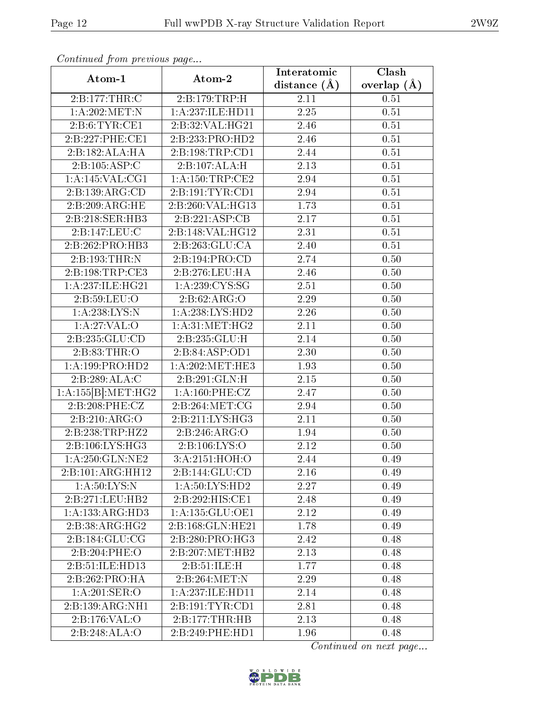| Conning of Trong provided page |                              | Interatomic       | Clash         |
|--------------------------------|------------------------------|-------------------|---------------|
| Atom-1                         | Atom-2                       | distance $(A)$    | overlap $(A)$ |
| 2:B:177:THR:C                  | 2:B:179:TRP:H                | 2.11              | 0.51          |
| 1:A:202:MET:N                  | 1:A:237:ILE:HD11             | 2.25              | 0.51          |
| 2:B:6:TYR:CE1                  | 2:B:32:VAL:HG21              | 2.46              | 0.51          |
| 2:B:227:PHE:CE1                | 2:B:233:PRO:HD2              | 2.46              | 0.51          |
| 2:B:182:ALA:HA                 | 2:B:198:TRP:CD1              | 2.44              | 0.51          |
| 2:B:105:ASP:C                  | 2:B:107:ALA:H                | 2.13              | 0.51          |
| 1: A:145: VAL:CG1              | 1:A:150:TRP:CE2              | 2.94              | 0.51          |
| 2:B:139:ARG:CD                 | 2:B:191:TYR:CD1              | 2.94              | 0.51          |
| 2:B:209:ARG:HE                 | 2:B:260:VAL:HG13             | 1.73              | 0.51          |
| 2:B:218:SER:HB3                | 2:B:221:ASP:CB               | 2.17              | 0.51          |
| 2:B:147:LEU:C                  | 2:B:148:VAL:HG12             | 2.31              | 0.51          |
| 2:B:262:PRO:HB3                | 2:B:263:GLU:CA               | 2.40              | 0.51          |
| 2:B:193:THR:N                  | 2:B:194:PRO:CD               | 2.74              | 0.50          |
| 2:B:198:TRP:CE3                | 2:B:276:LEU:HA               | 2.46              | 0.50          |
| 1:A:237:ILE:HG21               | 1: A:239: CYS:SG             | 2.51              | 0.50          |
| 2:B:59:LEU:O                   | 2: B:62: ARG:O               | 2.29              | 0.50          |
| 1:A:238:LYS:N                  | $1:A:\overline{238:LYS:HD2}$ | 2.26              | 0.50          |
| $1:A:27:VAL:$ <sup>O</sup>     | 1: A:31: MET:HG2             | 2.11              | 0.50          |
| 2:B:235:GLU:CD                 | 2:B:235:GLU:H                | 2.14              | 0.50          |
| 2: B: 83: THR:O                | 2:B:84:ASP:OD1               | $\overline{2}.30$ | 0.50          |
| 1:A:199:PRO:HD2                | 1: A:202:MET:HE3             | 1.93              | 0.50          |
| 2:B:289:ALA:C                  | 2:B:291:GLN:H                | 2.15              | 0.50          |
| 1:A:155[B]:MET:HG2             | 1: A:160: PHE: CZ            | 2.47              | 0.50          |
| 2:B:208:PHE:CZ                 | 2:B:264:MET:CG               | 2.94              | 0.50          |
| 2:B:210:ARG:O                  | 2:B:211:LYS:HG3              | 2.11              | 0.50          |
| 2:B:238:TRP:HZ2                | 2: B:246: ARG:O              | 1.94              | 0.50          |
| 2:B:106:LYS:HG3                | 2:B:106:LYS:O                | 2.12              | 0.50          |
| 1: A:250: GLN: NE2             | 3:A:2151:HOH:O               | 2.44              | 0.49          |
| 2:B:101:ARG:HH12               | 2:B:144:GLU:CD               | 2.16              | 0.49          |
| 1: A:50: LYS:N                 | 1: A:50: LYS: HD2            | 2.27              | 0.49          |
| 2:B:271:LEU:HB2                | 2:B:292:HIS:CE1              | 2.48              | 0.49          |
| 1:A:133:ARG:HD3                | 1:A:135:GLU:OE1              | 2.12              | 0.49          |
| $2:B:38:ARG:\overline{HG2}$    | 2:B:168:GLN:HE21             | 1.78              | 0.49          |
| 2:B:184:GLU:CG                 | 2:B:280:PRO:HG3              | 2.42              | 0.48          |
| 2:B:204:PHE:O                  | 2:B:207:MET:HB2              | 2.13              | 0.48          |
| 2: B: 51: ILE: HD13            | 2: B:51: ILE:H               | 1.77              | 0.48          |
| 2:B:262:PRO:HA                 | 2:B:264:MET:N                | 2.29              | 0.48          |
| 1: A:201:SER:O                 | 1: A: 237: ILE: HD11         | 2.14              | 0.48          |
| 2:B:139:ARG:NH1                | 2:B:191:TYR:CD1              | 2.81              | 0.48          |
| 2:B:176:VAL:O                  | 2:B:177:THR:HB               | 2.13              | 0.48          |
| 2:B:248:ALA:O                  | 2:B:249:PHE:HD1              | 1.96              | 0.48          |

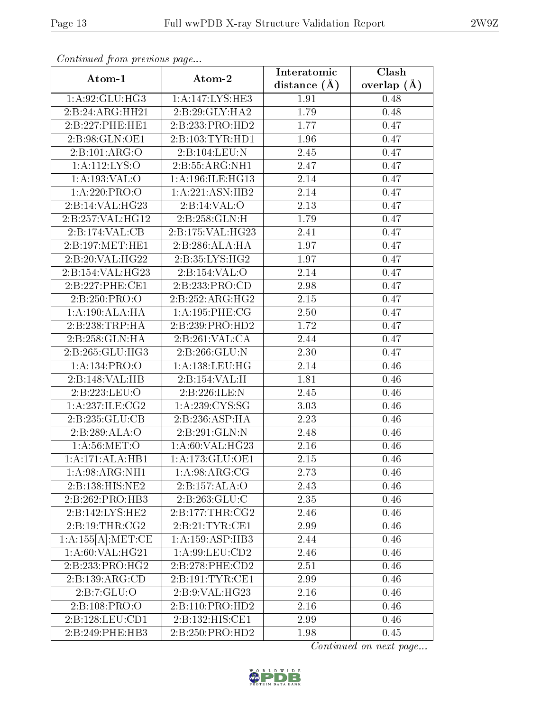| Continuation provided page  |                                                         | Interatomic       | $\overline{\text{Clash}}$ |
|-----------------------------|---------------------------------------------------------|-------------------|---------------------------|
| Atom-1                      | Atom-2                                                  | distance $(\AA)$  | overlap $(A)$             |
| 1:A:92:GLU:HG3              | 1:A:147:LYS:HE3                                         | 1.91              | 0.48                      |
| 2:B:24:ARG:HH21             | 2:B:29:GLY:HA2                                          | 1.79              | 0.48                      |
| 2:B:227:PHE:HE1             | 2:B:233:PRO:HD2                                         | 1.77              | 0.47                      |
| 2:B:98:GLN:OE1              | 2:B:103:TYR:HD1                                         | 1.96              | 0.47                      |
| 2: B: 101: ARG:O            | 2:B:104:LEU:N                                           | 2.45              | 0.47                      |
| 1: A:112:LYS:O              | 2:B:55:ARG:NH1                                          | 2.47              | 0.47                      |
| 1:A:193:VAL:O               | 1:A:196:ILE:HG13                                        | 2.14              | 0.47                      |
| 1:A:220:PRO:O               | 1:A:221:ASN:HB2                                         | 2.14              | 0.47                      |
| 2:B:14:VAL:HG23             | 2:B:14:VAL:O                                            | $\overline{2.13}$ | 0.47                      |
| 2:B:257:VAL:HG12            | 2:B:258:GLN:H                                           | 1.79              | 0.47                      |
| 2:B:174:VAL:CB              | 2:B:175:VAL:HG23                                        | 2.41              | 0.47                      |
| 2:B:197:MET:HE1             | 2:B:286:ALA:HA                                          | 1.97              | 0.47                      |
| 2:B:20:VAL:HG22             | 2:B:35:LYS:HG2                                          | 1.97              | 0.47                      |
| 2:B:154:VAL:HG23            | 2:B:154:VAL:O                                           | 2.14              | 0.47                      |
| 2:B:227:PHE:CE1             | 2:B:233:PRO:CD                                          | 2.98              | 0.47                      |
| 2:B:250:PRO:O               | 2:B:252:ARG:HG2                                         | 2.15              | 0.47                      |
| 1:A:190:ALA:HA              | 1:A:195:PHE:CG                                          | 2.50              | 0.47                      |
| 2:B:238:TRP:HA              | 2:B:239:PRO:HD2                                         | 1.72              | 0.47                      |
| $2:B:258:GLN:\overline{HA}$ | 2:B:261:VAL:CA                                          | 2.44              | 0.47                      |
| 2:B:265:GLU:HG3             | 2:B:266:GLU:N                                           | 2.30              | 0.47                      |
| 1: A: 134: PRO: O           | 1: A: 138: LEU: HG                                      | 2.14              | 0.46                      |
| 2:B:148:VAL:HB              | $2:B:154:\overline{\mathsf{VAL}}:\overline{\mathsf{H}}$ | 1.81              | 0.46                      |
| 2:B:223:LEU:O               | 2:B:226:ILE:N                                           | 2.45              | 0.46                      |
| 1: A:237: ILE: CG2          | 1: A:239:CYS:SG                                         | 3.03              | 0.46                      |
| 2:B:235:GLU:CB              | 2:B:236:ASP:HA                                          | $2.23\,$          | 0.46                      |
| 2:B:289:ALA:O               | 2:B:291:GLN:N                                           | 2.48              | 0.46                      |
| 1: A:56: MET:O              | 1:A:60:VAL:HG23                                         | 2.16              | 0.46                      |
| 1:A:171:ALA:HB1             | 1:A:173:GLU:OE1                                         | 2.15              | 0.46                      |
| 1:A:98:ARG:NH1              | 1: A:98: ARG: CG                                        | 2.73              | 0.46                      |
| 2:B:138:HIS:NE2             | 2:B:157:ALA:O                                           | 2.43              | 0.46                      |
| 2:B:262:PRO:HB3             | 2:B:263:GLU:C                                           | 2.35              | 0.46                      |
| 2:B:142:LYS:HE2             | 2:B:177:THR:CG2                                         | 2.46              | 0.46                      |
| 2: B: 19: THR: CG2          | 2:B:21:TYR:CE1                                          | 2.99              | 0.46                      |
| 1:A:155[A]:MET:CE           | 1:A:159:ASP:HB3                                         | 2.44              | 0.46                      |
| 1: A:60: VAL:HG21           | 1: A:99: LEU: CD2                                       | 2.46              | 0.46                      |
| 2:B:233:PRO:HG2             | 2:B:278:PHE:CD2                                         | 2.51              | 0.46                      |
| 2:B:139:ARG:CD              | 2:B:191:TYR:CE1                                         | 2.99              | 0.46                      |
| 2:B:7:GLU:O                 | 2: B: 9: VAL: HG <sub>23</sub>                          | 2.16              | 0.46                      |
| 2:B:108:PRO:O               | 2:B:110:PRO:HD2                                         | 2.16              | 0.46                      |
| 2: B: 128: LEU: CD1         | 2:B:132:HIS:CE1                                         | 2.99              | 0.46                      |
| 2:B:249:PHE:HB3             | 2:B:250:PRO:HD2                                         | 1.98              | 0.45                      |

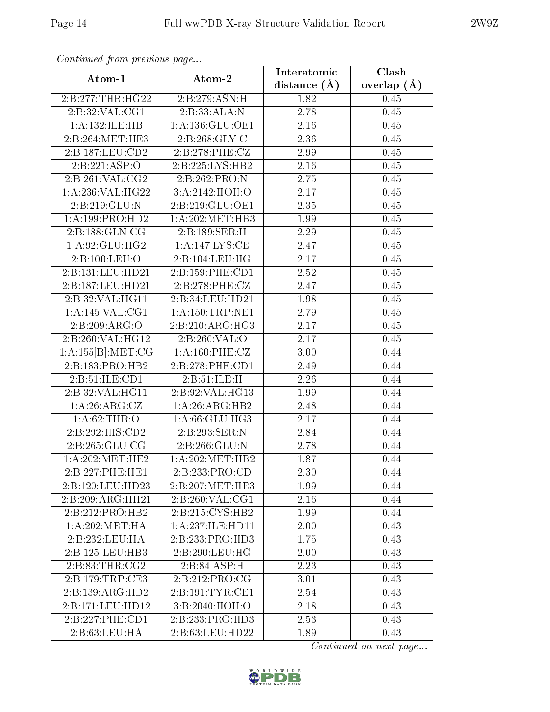| continual from previous page           |                     | Interatomic    | Clash         |
|----------------------------------------|---------------------|----------------|---------------|
| Atom-1                                 | Atom-2              | distance $(A)$ | overlap $(A)$ |
| 2:B:277:THR:HG22                       | 2:B:279:ASN:H       | 1.82           | 0.45          |
| 2:B:32:VAL:CG1                         | 2:B:33:ALA:N        | 2.78           | 0.45          |
| 1:A:132:ILE:HB                         | 1: A: 136: GLU: OE1 | 2.16           | 0.45          |
| 2:B:264:MET:HE3                        | 2: B:268: GLY: C    | 2.36           | 0.45          |
| 2:B:187:LEU:CD2                        | 2:B:278:PHE:CZ      | 2.99           | 0.45          |
| 2:B:221:ASP:O                          | 2:B:225:LYS:HB2     | 2.16           | 0.45          |
| 2: B:261: VAL:CG2                      | 2:B:262:PRO:N       | 2.75           | 0.45          |
| 1: A:236: VAL:HG22                     | 3:A:2142:HOH:O      | 2.17           | 0.45          |
| 2: B: 219: GLU:N                       | 2:B:219:GLU:OE1     | 2.35           | 0.45          |
| 1: A: 199: PRO: HD2                    | 1: A:202:MET:HB3    | 1.99           | 0.45          |
| 2:B:188:GLN:CG                         | 2:B:189:SER:H       | 2.29           | 0.45          |
| $1:\overline{A:92:GLU:HG2}$            | 1:A:147:LYS:CE      | 2.47           | 0.45          |
| 2:B:100:LEU:O                          | 2:B:104:LEU:HG      | 2.17           | 0.45          |
| 2:B:131:LEU:HD21                       | 2:B:159:PHE:CD1     | 2.52           | 0.45          |
| 2:B:187:LEU:HD21                       | 2:B:278:PHE:CZ      | 2.47           | 0.45          |
| 2:B:32:VAL:HG11                        | 2:B:34:LEU:HD21     | 1.98           | 0.45          |
| $1:$ A:145:VAL:CG1                     | 1: A: 150: TRP: NE1 | 2.79           | 0.45          |
| 2:B:209:ARG:O                          | 2:B:210:ARG:HG3     | 2.17           | 0.45          |
| $2:B:260:V\overline{\mathrm{AL:HG12}}$ | 2:B:260:VAL:O       | 2.17           | 0.45          |
| 1:A:155[B]:MET:CG                      | 1: A:160: PHE: CZ   | 3.00           | 0.44          |
| 2:B:183:PRO:HB2                        | 2:B:278:PHE:CD1     | 2.49           | 0.44          |
| 2: B: 51: ILE: CD1                     | 2:B:51:ILE:H        | 2.26           | 0.44          |
| 2:B:32:VAL:HG11                        | 2:B:92:VAL:HG13     | 1.99           | 0.44          |
| 1: A:26: ARG: CZ                       | 1:A:26:ARG:HB2      | 2.48           | 0.44          |
| 1: A:62:THR:O                          | 1:A:66:GLU:HG3      | 2.17           | 0.44          |
| 2:B:292:HIS:CD2                        | 2: B: 293: SER: N   | 2.84           | 0.44          |
| 2: B:265: GLU:CG                       | 2:B:266:GLU:N       | 2.78           | 0.44          |
| 1: A:202:MET:HE2                       | 1:A:202:MET:HB2     | 1.87           | 0.44          |
| 2:B:227:PHE:HE1                        | 2:B:233:PRO:CD      | 2.30           | 0.44          |
| 2:B:120:LEU:HD23                       | 2:B:207:MET:HE3     | 1.99           | 0.44          |
| 2:B:209:ARG:HH21                       | 2:B:260:VAL:CG1     | 2.16           | 0.44          |
| 2:B:212:PRO:HB2                        | 2:B:215:CYS:HB2     | 1.99           | 0.44          |
| 1: A:202: MET:HA                       | 1:A:237:ILE:HD11    | 2.00           | 0.43          |
| 2:B:232:LEU:HA                         | 2:B:233:PRO:HD3     | 1.75           | 0.43          |
| 2:B:125:LEU:HB3                        | 2:B:290:LEU:HG      | 2.00           | 0.43          |
| 2:B:83:THR:CG2                         | 2:B:84:ASP:H        | 2.23           | 0.43          |
| 2:B:179:TRP:CE3                        | 2:B:212:PRO:CG      | 3.01           | 0.43          |
| 2:B:139:ARG:HD2                        | 2: B:191: TYR: CE1  | 2.54           | 0.43          |
| 2:B:171:LEU:HD12                       | 3: B:2040:HOH:O     | 2.18           | 0.43          |
| 2:B:227:PHE:CD1                        | 2:B:233:PRO:HD3     | 2.53           | 0.43          |
| 2: B:63:LEU:HA                         | 2:B:63:LEU:HD22     | 1.89           | 0.43          |

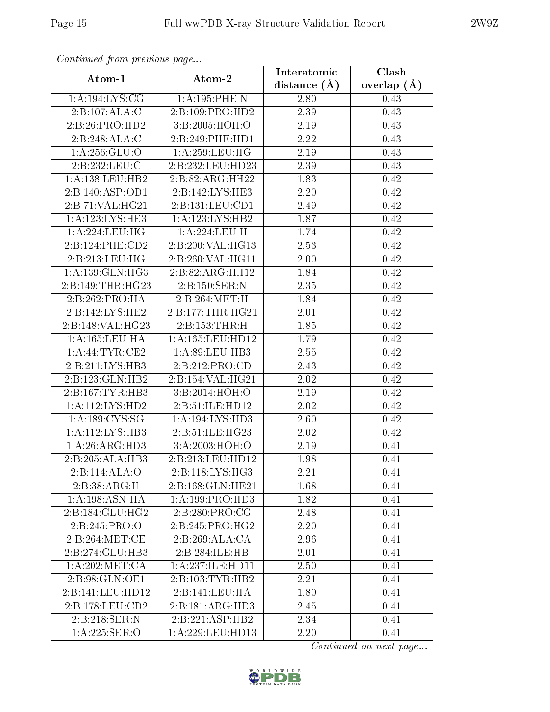| contentava promo proceso ao pago |                      | Interatomic    | $\overline{\text{Clash}}$ |
|----------------------------------|----------------------|----------------|---------------------------|
| Atom-1                           | Atom-2               | distance $(A)$ | overlap $(A)$             |
| 1:A:194:LYS:CG                   | 1:A:195:PHE:N        | 2.80           | 0.43                      |
| 2:B:107:ALA:C                    | 2:B:109:PRO:HD2      | 2.39           | 0.43                      |
| 2:B:26:PRO:HD2                   | 3:B:2005:HOH:O       | 2.19           | 0.43                      |
| 2:B:248:ALA:C                    | 2:B:249:PHE:HD1      | 2.22           | 0.43                      |
| 1: A:256: GLU:O                  | 1: A:259:LEU:HG      | 2.19           | 0.43                      |
| 2:B:232:LEU:C                    | 2:B:232:LEU:HD23     | 2.39           | 0.43                      |
| 1:A:138:LEU:HB2                  | 2:B:82:ARG:HH22      | 1.83           | 0.42                      |
| 2:B:140:ASP:OD1                  | 2: B: 142: LYS: HE3  | 2.20           | 0.42                      |
| 2:B:71:VAL:HG21                  | 2:B:131:LEU:CD1      | 2.49           | 0.42                      |
| 1:A:123:LYS:HE3                  | 1: A: 123: LYS: HB2  | 1.87           | 0.42                      |
| 1: A:224:LEU:HG                  | 1:A:224:LEU:H        | 1.74           | 0.42                      |
| 2:B:124:PHE:CD2                  | 2:B:200:VAL:HG13     | 2.53           | 0.42                      |
| 2:B:213:LEU:HG                   | 2:B:260:VAL:HG11     | 2.00           | 0.42                      |
| 1: A: 139: GLN: HG3              | 2:B:82:ARG:HH12      | 1.84           | 0.42                      |
| 2:B:149:THR:HG23                 | 2:B:150:SER:N        | 2.35           | 0.42                      |
| 2:B:262:PRO:HA                   | 2:B:264:MET:H        | 1.84           | 0.42                      |
| $2:B:142:LYS:\overline{HE2}$     | 2:B:177:THR:HG21     | 2.01           | 0.42                      |
| 2:B:148:VAL:HG23                 | 2:B:153:THR:H        | 1.85           | 0.42                      |
| 1:A:165:LEU:HA                   | 1:A:165:LEU:HD12     | 1.79           | 0.42                      |
| 1: A:44:TYR:CE2                  | 1: A:89:LEU:HB3      | 2.55           | 0.42                      |
| 2:B:211:LYS:HB3                  | 2:B:212:PRO:CD       | 2.43           | 0.42                      |
| 2:B:123:GLN:HB2                  | 2:B:154:VAL:HG21     | 2.02           | 0.42                      |
| 2:B:167:TYR:HB3                  | 3:B:2014:HOH:O       | 2.19           | 0.42                      |
| 1:A:112:LYS:HD2                  | 2:B:51:ILE:HD12      | 2.02           | 0.42                      |
| 1: A: 189: CYS: SG               | 1:A:194:LYS:HD3      | 2.60           | 0.42                      |
| 1: A:112: LYS: HB3               | 2:B:51:ILE:HG23      | 2.02           | 0.42                      |
| 1:A:26:ARG:HD3                   | 3: A:2003:HOH:O      | 2.19           | 0.41                      |
| 2:B:205:ALA:HB3                  | 2:B:213:LEU:HD12     | 1.98           | 0.41                      |
| 2:B:114:ALA:O                    | 2:B:118:LYS:HG3      | 2.21           | 0.41                      |
| 2:B:38:ARG:H                     | 2:B:168:GLN:HE21     | 1.68           | 0.41                      |
| 1:A:198:ASN:HA                   | 1: A: 199: PRO: HD3  | 1.82           | 0.41                      |
| 2:B:184:GLU:HG2                  | 2:B:280:PRO:CG       | 2.48           | 0.41                      |
| 2:B:245:PRO:O                    | 2:B:245:PRO:HG2      | 2.20           | 0.41                      |
| 2: B:264:MET:CE                  | 2:B:269:ALA:CA       | 2.96           | 0.41                      |
| 2:B:274:GLU:HB3                  | 2:B:284:ILE:HB       | 2.01           | 0.41                      |
| 1: A:202:MET:CA                  | 1: A: 237: ILE: HD11 | 2.50           | 0.41                      |
| 2:B:98:GLN:OE1                   | 2:B:103:TYR:HB2      | 2.21           | 0.41                      |
| 2:B:141:LEU:HD12                 | 2:B:141:LEU:HA       | 1.80           | 0.41                      |
| 2:B:178:LEU:CD2                  | 2:B:181:ARG:HD3      | 2.45           | 0.41                      |
| 2:B:218:SER:N                    | 2:B:221:ASP:HB2      | 2.34           | 0.41                      |
| 1:A:225:SER:O                    | 1:A:229:LEU:HD13     | 2.20           | 0.41                      |

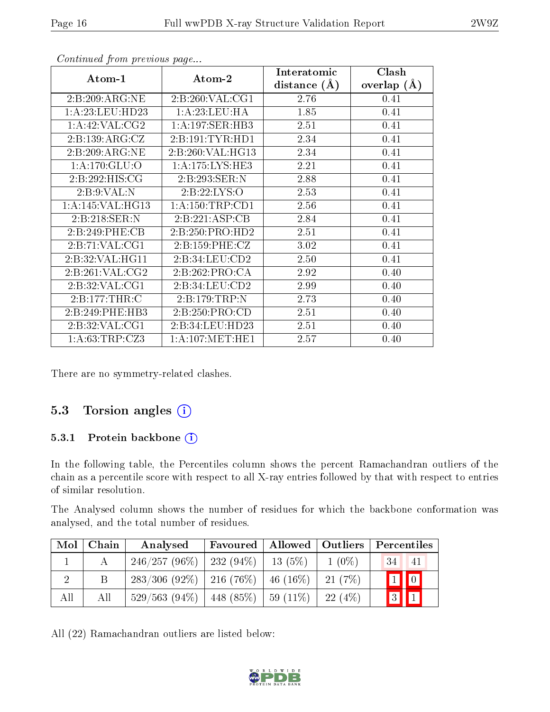| Atom-1             | Atom-2              | Interatomic<br>distance $(A)$ | Clash<br>overlap $(A)$ |
|--------------------|---------------------|-------------------------------|------------------------|
| 2:B:209:ARG:NE     | 2:B:260:VAL:CG1     | 2.76                          | 0.41                   |
| 1: A:23: LEU:HD23  | 1: A:23:LEU:HA      | 1.85                          | 0.41                   |
| 1:A:42:VAL:CG2     | 1:A:197:SER:HB3     | 2.51                          | 0.41                   |
| 2:B:139:ARG:CZ     | 2:B:191:TYR:HD1     | 2.34                          | 0.41                   |
| 2:B:209:ARG:NE     | 2:B:260:VAL:HG13    | 2.34                          | 0.41                   |
| 1: A:170: GLU:O    | 1: A:175:LYS:HE3    | 2.21                          | 0.41                   |
| 2:B:292:HIS:CG     | 2:B:293:SER:N       | 2.88                          | 0.41                   |
| 2:B:9:VAL:N        | 2:B:22:LYS:O        | 2.53                          | 0.41                   |
| 1: A:145: VAL:HG13 | 1: A: 150: TRP: CD1 | 2.56                          | 0.41                   |
| 2:B:218:SER:N      | 2:B:221:ASP:CB      | 2.84                          | 0.41                   |
| 2:B:249:PHE:CB     | 2:B:250:PRO:HD2     | 2.51                          | 0.41                   |
| 2:B:71:VAL:CG1     | 2: B: 159: PHE: CZ  | 3.02                          | 0.41                   |
| 2:B:32:VAL:HG11    | 2:B:34:LEU:CD2      | 2.50                          | 0.41                   |
| 2:B:261:VAL:CG2    | 2:B:262:PRO:CA      | 2.92                          | 0.40                   |
| 2:B:32:VAL:CG1     | 2:B:34:LEU:CD2      | 2.99                          | 0.40                   |
| 2:B:177:THR:C      | 2:B:179:TRP:N       | 2.73                          | 0.40                   |
| 2:B:249:PHE:HB3    | 2: B: 250: PRO:CD   | 2.51                          | 0.40                   |
| 2:B:32:VAL:CG1     | 2:B:34:LEU:HD23     | 2.51                          | 0.40                   |
| 1: A:63:TRP:CZ3    | 1: A:107: MET:HE1   | 2.57                          | 0.40                   |

There are no symmetry-related clashes.

### 5.3 Torsion angles (i)

#### 5.3.1 Protein backbone (i)

In the following table, the Percentiles column shows the percent Ramachandran outliers of the chain as a percentile score with respect to all X-ray entries followed by that with respect to entries of similar resolution.

The Analysed column shows the number of residues for which the backbone conformation was analysed, and the total number of residues.

| Mol | Chain | Analysed                                  | Favoured |                         | Allowed   Outliers | $\mid$ Percentiles     |
|-----|-------|-------------------------------------------|----------|-------------------------|--------------------|------------------------|
|     |       | $246/257(96\%)$   232 (94\%)              |          | $13(5\%)$               | $1(0\%)$           | 34<br>-41              |
|     |       | $283/306$ (92\%)   216 (76\%)   46 (16\%) |          |                         | $-21(7%)$          | $1$ 0                  |
| All | All   | $529/563$ (94\%)   448 (85\%)             |          | $\mid 59 \ (11\%) \mid$ | $-22(4%)$          | 3<br>$\vert$ 1 $\vert$ |

All (22) Ramachandran outliers are listed below:

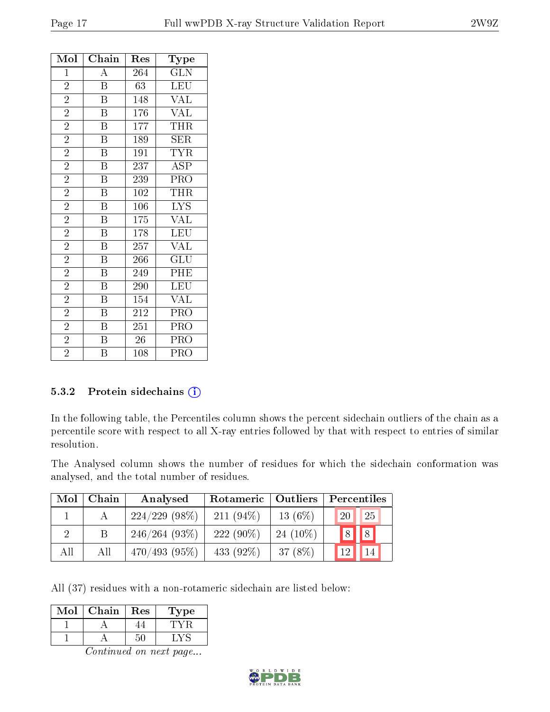| Mol            | Chain                     | Res              | Type                           |
|----------------|---------------------------|------------------|--------------------------------|
| $\mathbf{1}$   | $\overline{\rm A}$        | 264              | <b>GLN</b>                     |
| $\overline{2}$ | $\overline{\mathrm{B}}$   | 63               | LEU                            |
| $\overline{2}$ | $\overline{\mathrm{B}}$   | 148              | <b>VAL</b>                     |
| $\overline{2}$ | $\overline{\mathrm{B}}$   | 176              | $\overline{\text{VAL}}$        |
| $\overline{2}$ | $\overline{\mathrm{B}}$   | $\overline{1}77$ | THR                            |
| $\overline{2}$ | $\overline{\mathrm{B}}$   | 189              | <b>SER</b>                     |
| $\overline{2}$ | $\overline{B}$            | 191              | <b>TYR</b>                     |
| $\overline{2}$ | $\overline{\mathrm{B}}$   | 237              | $\overline{\text{ASP}}$        |
| $\overline{2}$ | $\overline{\mathrm{B}}$   | 239              | PRO                            |
| $\overline{2}$ | $\, {\bf B}$              | 102              | THR                            |
| $\overline{2}$ | $\overline{\mathrm{B}}$   | $\overline{106}$ | $\overline{\text{LYS}}$        |
| $\overline{2}$ | $\, {\bf B}$              | 175              | <b>VAL</b>                     |
| $\overline{2}$ | $\overline{\mathrm{B}}$   | 178              | $\overline{\text{L}}\text{EU}$ |
| $\overline{2}$ | $\overline{\mathbf{B}}$   | 257              | <b>VAL</b>                     |
| $\overline{2}$ | $\boldsymbol{B}$          | 266              | GLU                            |
| $\overline{2}$ | $\overline{\mathrm{B}}$   | 249              | PHE                            |
| $\overline{2}$ | $\overline{\mathbf{B}}$   | 290              | LEU                            |
| $\overline{2}$ | $\overline{\mathrm{B}}$   | 154              | VAL                            |
| $\overline{2}$ | $\overline{B}$            | 212              | PRO                            |
| $\overline{2}$ | $\boldsymbol{\mathrm{B}}$ | 251              | PRO                            |
| $\overline{2}$ | $\overline{\mathrm{B}}$   | 26               | <b>PRO</b>                     |
| $\overline{2}$ | $\boldsymbol{B}$          | 108              | PRO                            |

#### 5.3.2 Protein sidechains (i)

In the following table, the Percentiles column shows the percent sidechain outliers of the chain as a percentile score with respect to all X-ray entries followed by that with respect to entries of similar resolution.

The Analysed column shows the number of residues for which the sidechain conformation was analysed, and the total number of residues.

| Mol | Chain | Analysed         | Rotameric    | Outliers    | Percentiles           |
|-----|-------|------------------|--------------|-------------|-----------------------|
|     |       | $224/229$ (98\%) | $211(94\%)$  | $13(6\%)$   | 25<br>20 <sub>1</sub> |
| റ   | B     | 246/264(93%)     | $222(90\%)$  | 24 $(10\%)$ | 8 <br> 8              |
| All | All   | $470/493(95\%)$  | 433 $(92\%)$ | 37(8%)      | 14<br>12              |

All (37) residues with a non-rotameric sidechain are listed below:

| Mol | Chain | Res | l'ype |
|-----|-------|-----|-------|
|     |       |     |       |
|     |       |     |       |

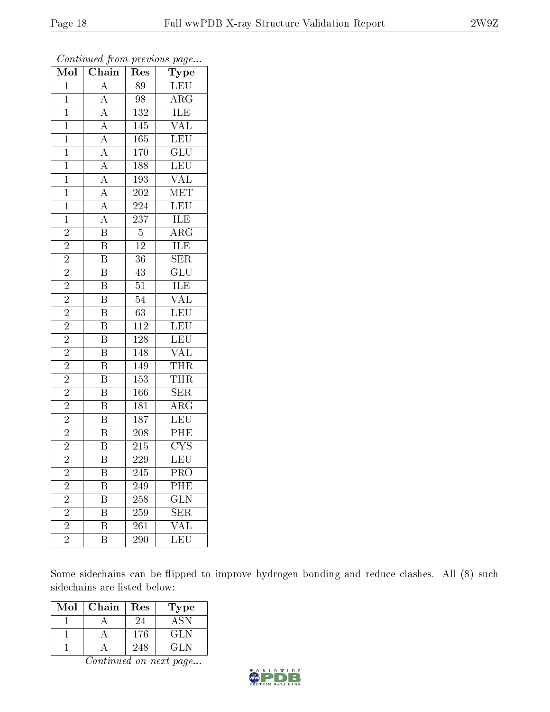| Mol                     | $\overline{\text{Chain}}$                                                                                                                                                           | Res              | ${\bf Type}$            |
|-------------------------|-------------------------------------------------------------------------------------------------------------------------------------------------------------------------------------|------------------|-------------------------|
| $\mathbf{1}$            | $\overline{A}$                                                                                                                                                                      | 89               | <b>LEU</b>              |
| $\mathbf{1}$            |                                                                                                                                                                                     | 98               | $\overline{\text{ARG}}$ |
| $\overline{1}$          |                                                                                                                                                                                     | 132              | <b>ILE</b>              |
| $\mathbf{1}$            |                                                                                                                                                                                     | 145              | $\overline{\text{VAL}}$ |
| $\overline{1}$          | $\frac{\overline{A}}{\overline{A}}$ $\frac{\overline{A}}{\overline{A}}$ $\frac{\overline{A}}{\overline{A}}$ $\frac{\overline{A}}{\overline{A}}$ $\frac{\overline{A}}{\overline{A}}$ | $\overline{165}$ | LEU                     |
| $\mathbf{1}$            |                                                                                                                                                                                     | $\overline{1}70$ | $\overline{\text{GLU}}$ |
| $\mathbf{1}$            |                                                                                                                                                                                     | 188              | $\overline{\text{LEU}}$ |
| $\overline{1}$          |                                                                                                                                                                                     | 193              | <b>VAL</b>              |
| $\mathbf{1}$            |                                                                                                                                                                                     | 202              | <b>MET</b>              |
| $\overline{1}$          |                                                                                                                                                                                     | 224              | LEU                     |
| $\mathbf{1}$            |                                                                                                                                                                                     | 237              | $\overline{\text{ILE}}$ |
| $\overline{2}$          | $\overline{\mathbf{B}}$                                                                                                                                                             | $\overline{5}$   | $\overline{\rm ARG}$    |
| $\overline{2}$          | $\overline{\mathrm{B}}$                                                                                                                                                             | $\overline{12}$  | ILE                     |
| $\overline{2}$          | $\overline{\mathrm{B}}$                                                                                                                                                             | $\overline{36}$  | SER                     |
| $\overline{2}$          | $\overline{\mathrm{B}}$                                                                                                                                                             | $\overline{43}$  | $\overline{\text{GLU}}$ |
| $\frac{2}{2}$           | $\overline{\mathrm{B}}$                                                                                                                                                             | 51               | $\overline{ILE}$        |
|                         | $\overline{\mathrm{B}}$                                                                                                                                                             | $\overline{54}$  | $\overline{\text{VAL}}$ |
| $\overline{2}$          | $\overline{\mathrm{B}}$                                                                                                                                                             | $63\,$           | LEU                     |
| $\overline{2}$          | $\overline{\mathrm{B}}$                                                                                                                                                             | 112              | LEU                     |
| $\overline{2}$          | $\overline{\mathrm{B}}$                                                                                                                                                             | <b>128</b>       | $\overline{\text{LEU}}$ |
| $\overline{2}$          | $\overline{\mathrm{B}}$                                                                                                                                                             | 148              | $\overline{\text{VAL}}$ |
| $\overline{2}$          | $\overline{\mathbf{B}}$                                                                                                                                                             | 149              | <b>THR</b>              |
| $\overline{2}$          | $\overline{\mathbf{B}}$                                                                                                                                                             | 153              | <b>THR</b>              |
| $\overline{2}$          | $\overline{\mathrm{B}}$                                                                                                                                                             | 166              | $\overline{\text{SER}}$ |
| $\overline{2}$          | $\overline{\mathbf{B}}$                                                                                                                                                             | 181              | $\rm{ARG}$              |
| $\overline{\mathbf{c}}$ | $\overline{\mathbf{B}}$                                                                                                                                                             | 187              | LEU                     |
| $\overline{2}$          | $\overline{B}$                                                                                                                                                                      | 208              | PHE                     |
| $\overline{2}$          | $\overline{\mathrm{B}}$                                                                                                                                                             | 215              | $\overline{\text{CYS}}$ |
| $\overline{2}$          | $\overline{\mathrm{B}}$                                                                                                                                                             | $\overline{229}$ | $\overline{\text{LEU}}$ |
| $\overline{c}$          | Β                                                                                                                                                                                   | 245              | $PR\overline{O}$        |
| $\overline{2}$          | Β                                                                                                                                                                                   | 249              | PHE                     |
| $\overline{2}$          | $\overline{\mathrm{B}}$                                                                                                                                                             | 258              | GLN                     |
| $\overline{2}$          | B                                                                                                                                                                                   | 259              | <b>SER</b>              |
| $\overline{2}$          | Β                                                                                                                                                                                   | 261              | $\overline{\text{VAL}}$ |
| $\overline{2}$          | Β                                                                                                                                                                                   | 290              | LEU                     |

Some sidechains can be flipped to improve hydrogen bonding and reduce clashes. All (8) such sidechains are listed below:

| $\operatorname{Mol}$ | Chain | $\operatorname{Res}% \left( \mathcal{N}\right) \equiv\operatorname{Res}(\mathcal{N}_{0})\cap\mathcal{N}_{1}$ | Type       |
|----------------------|-------|--------------------------------------------------------------------------------------------------------------|------------|
|                      |       | 24                                                                                                           | <b>ASN</b> |
|                      |       | 176                                                                                                          | GL N       |
|                      |       | 248                                                                                                          | 64 L.N     |

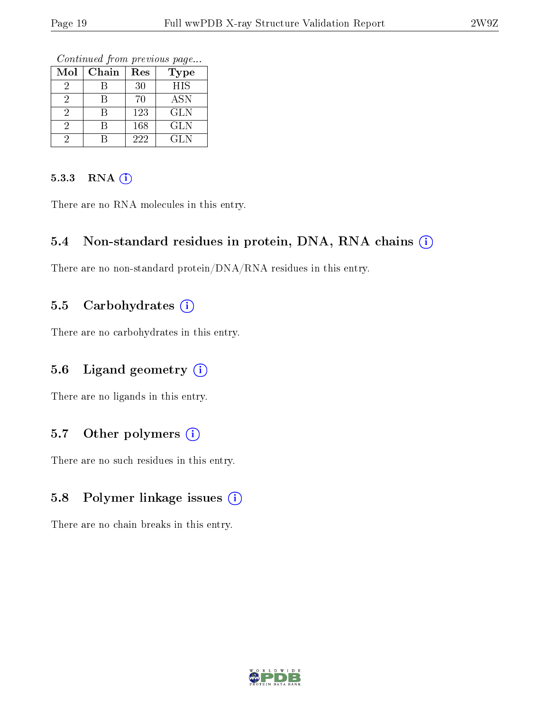Continued from previous page...

| Mol | Chain | Res | Type       |
|-----|-------|-----|------------|
|     |       | 30  | HIS        |
|     |       | 70  | <b>ASN</b> |
|     |       | 123 | <b>GLN</b> |
|     |       | 168 | GLN        |
|     |       | 222 | <b>GLN</b> |

#### 5.3.3 RNA (i)

There are no RNA molecules in this entry.

### 5.4 Non-standard residues in protein, DNA, RNA chains (i)

There are no non-standard protein/DNA/RNA residues in this entry.

### 5.5 Carbohydrates  $(i)$

There are no carbohydrates in this entry.

### 5.6 Ligand geometry  $(i)$

There are no ligands in this entry.

### 5.7 [O](https://www.wwpdb.org/validation/2017/XrayValidationReportHelp#nonstandard_residues_and_ligands)ther polymers  $(i)$

There are no such residues in this entry.

### 5.8 Polymer linkage issues  $(i)$

There are no chain breaks in this entry.

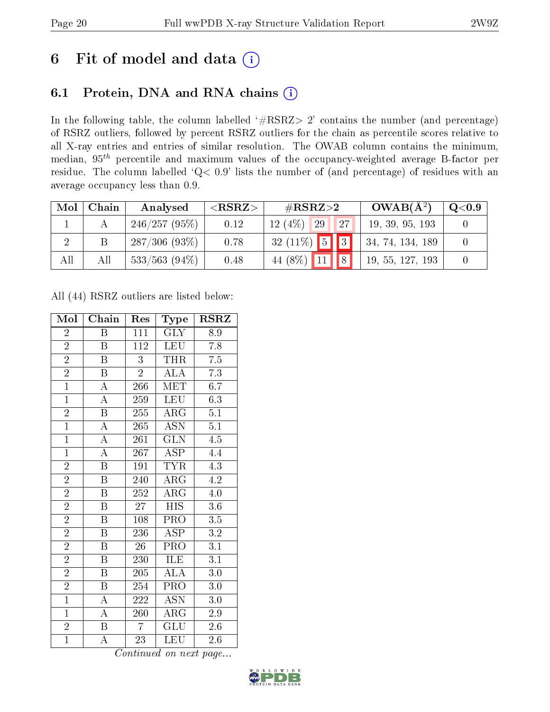# 6 Fit of model and data  $(i)$

## 6.1 Protein, DNA and RNA chains  $(i)$

In the following table, the column labelled  $#RSRZ> 2'$  contains the number (and percentage) of RSRZ outliers, followed by percent RSRZ outliers for the chain as percentile scores relative to all X-ray entries and entries of similar resolution. The OWAB column contains the minimum, median,  $95<sup>th</sup>$  percentile and maximum values of the occupancy-weighted average B-factor per residue. The column labelled ' $Q< 0.9$ ' lists the number of (and percentage) of residues with an average occupancy less than 0.9.

| Mol            | Chain | Analysed         | ${ <\hspace{-1.5pt}{\mathrm{RSRZ}} \hspace{-1.5pt}>}$ | $\#\text{RSRZ}\text{>2}$  | $OWAB(A^2)$      | $\mathrm{Q}{<}0.9$ |
|----------------|-------|------------------|-------------------------------------------------------|---------------------------|------------------|--------------------|
|                |       | 246/257(95%)     | 0.12                                                  | 12(4%)<br>27<br>29        | 19, 39, 95, 193  |                    |
| $\overline{2}$ |       | 287/306(93%)     | 0.78                                                  | $32(11\%)$ 5 3            | 34, 74, 134, 189 |                    |
| All            | All   | $533/563$ (94\%) | 0.48                                                  | $\sqrt{8}$<br>44 (8\%) 11 | 19, 55, 127, 193 |                    |

All (44) RSRZ outliers are listed below:

| Mol            | Chain                     | Res             | Type                    | <b>RSRZ</b>      |
|----------------|---------------------------|-----------------|-------------------------|------------------|
| $\overline{2}$ | Β                         | 111             | <b>GLY</b>              | 8.9              |
| $\overline{2}$ | $\boldsymbol{B}$          | 112             | <b>LEU</b>              | 7.8              |
| $\overline{2}$ | $\boldsymbol{B}$          | 3               | <b>THR</b>              | 7.5              |
| $\overline{2}$ | $\boldsymbol{\mathrm{B}}$ | $\overline{2}$  | <b>ALA</b>              | 7.3              |
| $\overline{1}$ | $\overline{\rm A}$        | 266             | <b>MET</b>              | 6.7              |
| $\overline{1}$ | $\overline{\rm A}$        | 259             | <b>LEU</b>              | 6.3              |
| $\overline{2}$ | $\overline{\mathrm{B}}$   | 255             | $\rm{ARG}$              | 5.1              |
| $\overline{1}$ | $\overline{\rm A}$        | 265             | <b>ASN</b>              | $\overline{5.1}$ |
| $\overline{1}$ | $\overline{\rm A}$        | 261             | <b>GLN</b>              | $\overline{4.5}$ |
| $\overline{1}$ | $\overline{\rm A}$        | 267             | $\overline{\rm ASP}$    | 4.4              |
| $\overline{2}$ | $\overline{\mathrm{B}}$   | 191             | <b>TYR</b>              | $\overline{4.3}$ |
| $\overline{2}$ | $\overline{\mathrm{B}}$   | 240             | $\overline{\rm{ARG}}$   | $\overline{4.2}$ |
| $\overline{2}$ | $\overline{B}$            | 252             | $\rm{ARG}$              | $4.0\,$          |
| $\overline{2}$ | $\boldsymbol{B}$          | 27              | <b>HIS</b>              | $3.6\,$          |
| $\overline{2}$ | $\overline{\mathrm{B}}$   | 108             | $\overline{\text{PRO}}$ | 3.5              |
| $\overline{2}$ | B                         | 236             | <b>ASP</b>              | $\overline{3.2}$ |
| $\overline{2}$ | $\overline{\mathrm{B}}$   | $\overline{26}$ | $\overline{\text{PRO}}$ | $\overline{3.1}$ |
| $\overline{2}$ | $\boldsymbol{B}$          | 230             | ILE                     | $\overline{3.1}$ |
| $\overline{2}$ | $\boldsymbol{B}$          | 205             | <b>ALA</b>              | 3.0              |
| $\overline{2}$ | $\overline{\mathbf{B}}$   | 254             | PRO                     | $3.0\,$          |
| $\overline{1}$ | $\boldsymbol{A}$          | 222             | <b>ASN</b>              | 3.0              |
| $\mathbf{1}$   | $\overline{\rm A}$        | 260             | $\rm{\overline{A}RG}$   | $2.9\,$          |
| $\overline{2}$ | $\overline{B}$            | $\overline{7}$  | <b>GLU</b>              | $2.6\,$          |
| $\overline{1}$ | $\overline{\rm A}$        | 23              | LEU                     | 2.6              |